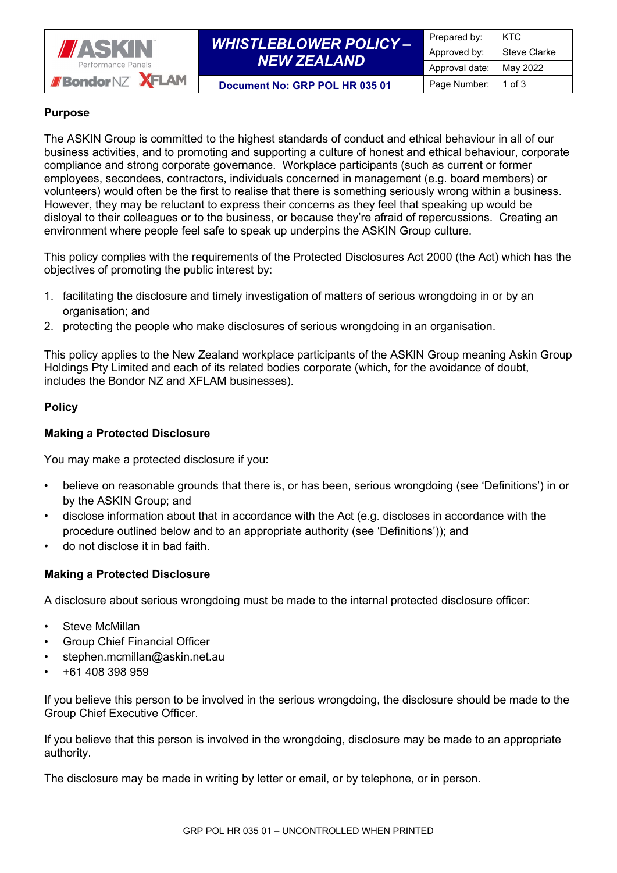

# *WHISTLEBLOWER POLICY – NEW ZEALAND*

#### **Document No: GRP POL HR 035 01** Page Number: 1 of 3

## **Purpose**

The ASKIN Group is committed to the highest standards of conduct and ethical behaviour in all of our business activities, and to promoting and supporting a culture of honest and ethical behaviour, corporate compliance and strong corporate governance. Workplace participants (such as current or former employees, secondees, contractors, individuals concerned in management (e.g. board members) or volunteers) would often be the first to realise that there is something seriously wrong within a business. However, they may be reluctant to express their concerns as they feel that speaking up would be disloyal to their colleagues or to the business, or because they're afraid of repercussions. Creating an environment where people feel safe to speak up underpins the ASKIN Group culture.

This policy complies with the requirements of the Protected Disclosures Act 2000 (the Act) which has the objectives of promoting the public interest by:

- 1. facilitating the disclosure and timely investigation of matters of serious wrongdoing in or by an organisation; and
- 2. protecting the people who make disclosures of serious wrongdoing in an organisation.

This policy applies to the New Zealand workplace participants of the ASKIN Group meaning Askin Group Holdings Pty Limited and each of its related bodies corporate (which, for the avoidance of doubt, includes the Bondor NZ and XFLAM businesses).

#### **Policy**

#### **Making a Protected Disclosure**

You may make a protected disclosure if you:

- believe on reasonable grounds that there is, or has been, serious wrongdoing (see 'Definitions') in or by the ASKIN Group; and
- disclose information about that in accordance with the Act (e.g. discloses in accordance with the procedure outlined below and to an appropriate authority (see 'Definitions')); and
- do not disclose it in bad faith.

## **Making a Protected Disclosure**

A disclosure about serious wrongdoing must be made to the internal protected disclosure officer:

- Steve McMillan
- Group Chief Financial Officer
- stephen.mcmillan@askin.net.au
- +61 408 398 959

If you believe this person to be involved in the serious wrongdoing, the disclosure should be made to the Group Chief Executive Officer.

If you believe that this person is involved in the wrongdoing, disclosure may be made to an appropriate authority.

The disclosure may be made in writing by letter or email, or by telephone, or in person.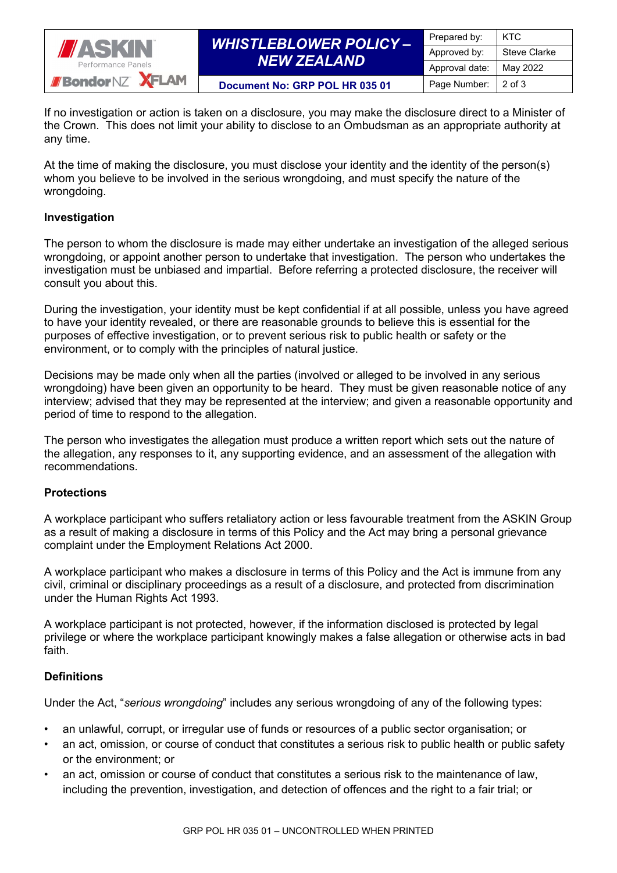

# *WHISTLEBLOWER POLICY – NEW ZEALAND*

Prepared by: | KTC Approved by: Steve Clarke Approval date: May 2022

**Document No: GRP POL HR 035 01** Page Number: 2 of 3

If no investigation or action is taken on a disclosure, you may make the disclosure direct to a Minister of the Crown. This does not limit your ability to disclose to an Ombudsman as an appropriate authority at any time.

At the time of making the disclosure, you must disclose your identity and the identity of the person(s) whom you believe to be involved in the serious wrongdoing, and must specify the nature of the wrongdoing.

## **Investigation**

The person to whom the disclosure is made may either undertake an investigation of the alleged serious wrongdoing, or appoint another person to undertake that investigation. The person who undertakes the investigation must be unbiased and impartial. Before referring a protected disclosure, the receiver will consult you about this.

During the investigation, your identity must be kept confidential if at all possible, unless you have agreed to have your identity revealed, or there are reasonable grounds to believe this is essential for the purposes of effective investigation, or to prevent serious risk to public health or safety or the environment, or to comply with the principles of natural justice.

Decisions may be made only when all the parties (involved or alleged to be involved in any serious wrongdoing) have been given an opportunity to be heard. They must be given reasonable notice of any interview; advised that they may be represented at the interview; and given a reasonable opportunity and period of time to respond to the allegation.

The person who investigates the allegation must produce a written report which sets out the nature of the allegation, any responses to it, any supporting evidence, and an assessment of the allegation with recommendations.

## **Protections**

A workplace participant who suffers retaliatory action or less favourable treatment from the ASKIN Group as a result of making a disclosure in terms of this Policy and the Act may bring a personal grievance complaint under the Employment Relations Act 2000.

A workplace participant who makes a disclosure in terms of this Policy and the Act is immune from any civil, criminal or disciplinary proceedings as a result of a disclosure, and protected from discrimination under the Human Rights Act 1993.

A workplace participant is not protected, however, if the information disclosed is protected by legal privilege or where the workplace participant knowingly makes a false allegation or otherwise acts in bad faith.

## **Definitions**

Under the Act, "*serious wrongdoing*" includes any serious wrongdoing of any of the following types:

- an unlawful, corrupt, or irregular use of funds or resources of a public sector organisation; or
- an act, omission, or course of conduct that constitutes a serious risk to public health or public safety or the environment; or
- an act, omission or course of conduct that constitutes a serious risk to the maintenance of law, including the prevention, investigation, and detection of offences and the right to a fair trial; or